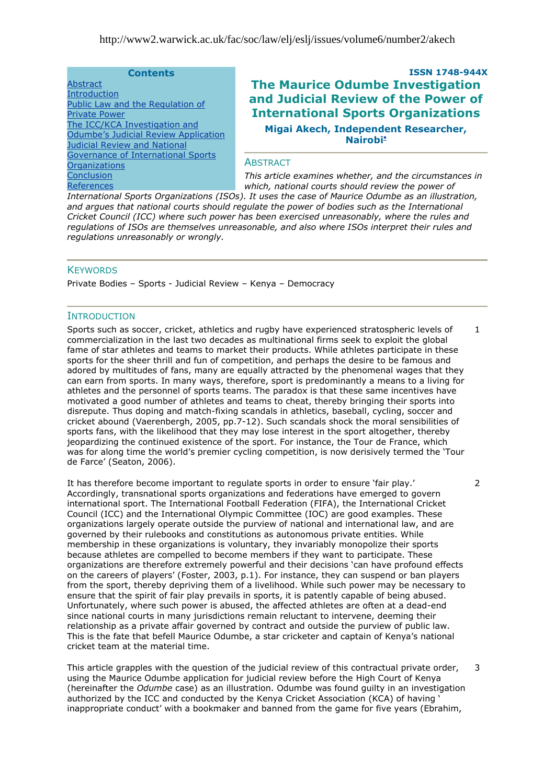### **Contents**

**[Abstract](#page-0-0)** [Introduction](#page-0-1) [Public Law and the Regulation of](http://www2.warwick.ac.uk/fac/soc/law/elj/eslj/issues/volume6/number2/akech/#a2)  [Private Power](http://www2.warwick.ac.uk/fac/soc/law/elj/eslj/issues/volume6/number2/akech/#a2) The [ICC/KCA Investigation and](http://www2.warwick.ac.uk/fac/soc/law/elj/eslj/issues/volume6/number2/akech/#a3)  Odumbe's Judicial Review Application [Judicial Review and National](http://www2.warwick.ac.uk/fac/soc/law/elj/eslj/issues/volume6/number2/akech/#a4)  [Governance of International Sports](http://www2.warwick.ac.uk/fac/soc/law/elj/eslj/issues/volume6/number2/akech/#a4)  **[Organizations](http://www2.warwick.ac.uk/fac/soc/law/elj/eslj/issues/volume6/number2/akech/#a4) [Conclusion](http://www2.warwick.ac.uk/fac/soc/law/elj/eslj/issues/volume6/number2/akech/#a5)** [References](http://www2.warwick.ac.uk/fac/soc/law/elj/eslj/issues/volume6/number2/akech/#a6)

# **ISSN 1748-944X The Maurice Odumbe Investigation and Judicial Review of the Power of International Sports Organizations Migai Akech, Independent Researcher, Nairob[i](#page-16-0)**

### <span id="page-0-2"></span><span id="page-0-0"></span>**ABSTRACT**

*This article examines whether, and the circumstances in which, national courts should review the power of* 

*International Sports Organizations (ISOs). It uses the case of Maurice Odumbe as an illustration,*  and argues that national courts should regulate the power of bodies such as the International *Cricket Council (ICC) where such power has been exercised unreasonably, where the rules and regulations of ISOs are themselves unreasonable, and also where ISOs interpret their rules and regulations unreasonably or wrongly.*

## **KEYWORDS**

Private Bodies – Sports - Judicial Review – Kenya – Democracy

## <span id="page-0-1"></span>**INTRODUCTION**

Sports such as soccer, cricket, athletics and rugby have experienced stratospheric levels of commercialization in the last two decades as multinational firms seek to exploit the global fame of star athletes and teams to market their products. While athletes participate in these sports for the sheer thrill and fun of competition, and perhaps the desire to be famous and adored by multitudes of fans, many are equally attracted by the phenomenal wages that they can earn from sports. In many ways, therefore, sport is predominantly a means to a living for athletes and the personnel of sports teams. The paradox is that these same incentives have motivated a good number of athletes and teams to cheat, thereby bringing their sports into disrepute. Thus doping and match-fixing scandals in athletics, baseball, cycling, soccer and cricket abound (Vaerenbergh, 2005, pp.7-12). Such scandals shock the moral sensibilities of sports fans, with the likelihood that they may lose interest in the sport altogether, thereby jeopardizing the continued existence of the sport. For instance, the Tour de France, which was for along time the world"s premier cycling competition, is now derisively termed the "Tour de Farce' (Seaton, 2006). 1

It has therefore become important to regulate sports in order to ensure "fair play." Accordingly, transnational sports organizations and federations have emerged to govern international sport. The International Football Federation (FIFA), the International Cricket Council (ICC) and the International Olympic Committee (IOC) are good examples. These organizations largely operate outside the purview of national and international law, and are governed by their rulebooks and constitutions as autonomous private entities. While membership in these organizations is voluntary, they invariably monopolize their sports because athletes are compelled to become members if they want to participate. These organizations are therefore extremely powerful and their decisions "can have profound effects on the careers of players" (Foster, 2003, p.1). For instance, they can suspend or ban players from the sport, thereby depriving them of a livelihood. While such power may be necessary to ensure that the spirit of fair play prevails in sports, it is patently capable of being abused. Unfortunately, where such power is abused, the affected athletes are often at a dead-end since national courts in many jurisdictions remain reluctant to intervene, deeming their relationship as a private affair governed by contract and outside the purview of public law. This is the fate that befell Maurice Odumbe, a star cricketer and captain of Kenya"s national cricket team at the material time.

This article grapples with the question of the judicial review of this contractual private order, using the Maurice Odumbe application for judicial review before the High Court of Kenya (hereinafter the *Odumbe* case) as an illustration. Odumbe was found guilty in an investigation authorized by the ICC and conducted by the Kenya Cricket Association (KCA) of having " inappropriate conduct" with a bookmaker and banned from the game for five years (Ebrahim, 3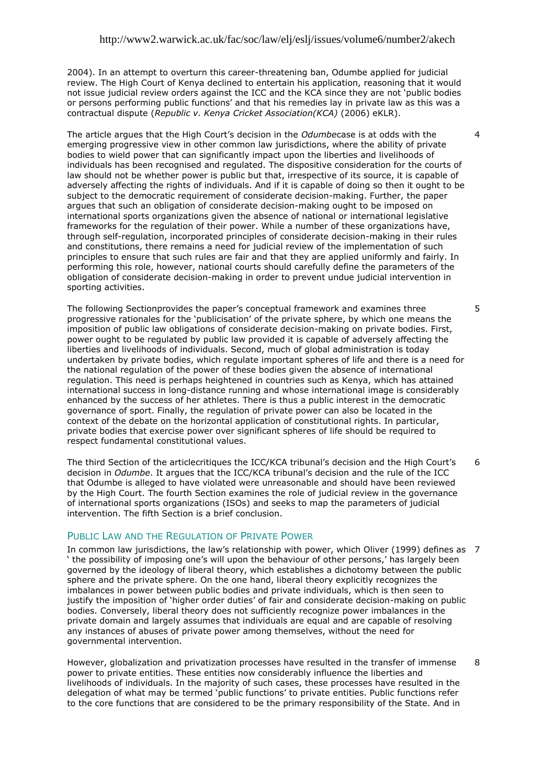2004). In an attempt to overturn this career-threatening ban, Odumbe applied for judicial review. The High Court of Kenya declined to entertain his application, reasoning that it would not issue judicial review orders against the ICC and the KCA since they are not "public bodies or persons performing public functions" and that his remedies lay in private law as this was a contractual dispute (*Republic v. Kenya Cricket Association(KCA)* (2006) eKLR).

The article argues that the High Court"s decision in the *Odumbe*case is at odds with the emerging progressive view in other common law jurisdictions, where the ability of private bodies to wield power that can significantly impact upon the liberties and livelihoods of individuals has been recognised and regulated. The dispositive consideration for the courts of law should not be whether power is public but that, irrespective of its source, it is capable of adversely affecting the rights of individuals. And if it is capable of doing so then it ought to be subject to the democratic requirement of considerate decision-making. Further, the paper argues that such an obligation of considerate decision-making ought to be imposed on international sports organizations given the absence of national or international legislative frameworks for the regulation of their power. While a number of these organizations have, through self-regulation, incorporated principles of considerate decision-making in their rules and constitutions, there remains a need for judicial review of the implementation of such principles to ensure that such rules are fair and that they are applied uniformly and fairly. In performing this role, however, national courts should carefully define the parameters of the obligation of considerate decision-making in order to prevent undue judicial intervention in sporting activities.

The following Sectionprovides the paper"s conceptual framework and examines three progressive rationales for the "publicisation" of the private sphere, by which one means the imposition of public law obligations of considerate decision-making on private bodies. First, power ought to be regulated by public law provided it is capable of adversely affecting the liberties and livelihoods of individuals. Second, much of global administration is today undertaken by private bodies, which regulate important spheres of life and there is a need for the national regulation of the power of these bodies given the absence of international regulation. This need is perhaps heightened in countries such as Kenya, which has attained international success in long-distance running and whose international image is considerably enhanced by the success of her athletes. There is thus a public interest in the democratic governance of sport. Finally, the regulation of private power can also be located in the context of the debate on the horizontal application of constitutional rights. In particular, private bodies that exercise power over significant spheres of life should be required to respect fundamental constitutional values.

The third Section of the articlecritiques the ICC/KCA tribunal's decision and the High Court's decision in *Odumbe*. It argues that the ICC/KCA tribunal"s decision and the rule of the ICC that Odumbe is alleged to have violated were unreasonable and should have been reviewed by the High Court. The fourth Section examines the role of judicial review in the governance of international sports organizations (ISOs) and seeks to map the parameters of judicial intervention. The fifth Section is a brief conclusion. 6

## PUBLIC LAW AND THE REGULATION OF PRIVATE POWER

In common law jurisdictions, the law"s relationship with power, which Oliver (1999) defines as 7 the possibility of imposing one's will upon the behaviour of other persons,' has largely been governed by the ideology of liberal theory, which establishes a dichotomy between the public sphere and the private sphere. On the one hand, liberal theory explicitly recognizes the imbalances in power between public bodies and private individuals, which is then seen to justify the imposition of "higher order duties" of fair and considerate decision-making on public bodies. Conversely, liberal theory does not sufficiently recognize power imbalances in the private domain and largely assumes that individuals are equal and are capable of resolving any instances of abuses of private power among themselves, without the need for governmental intervention.

However, globalization and privatization processes have resulted in the transfer of immense power to private entities. These entities now considerably influence the liberties and livelihoods of individuals. In the majority of such cases, these processes have resulted in the delegation of what may be termed "public functions" to private entities. Public functions refer to the core functions that are considered to be the primary responsibility of the State. And in 8

4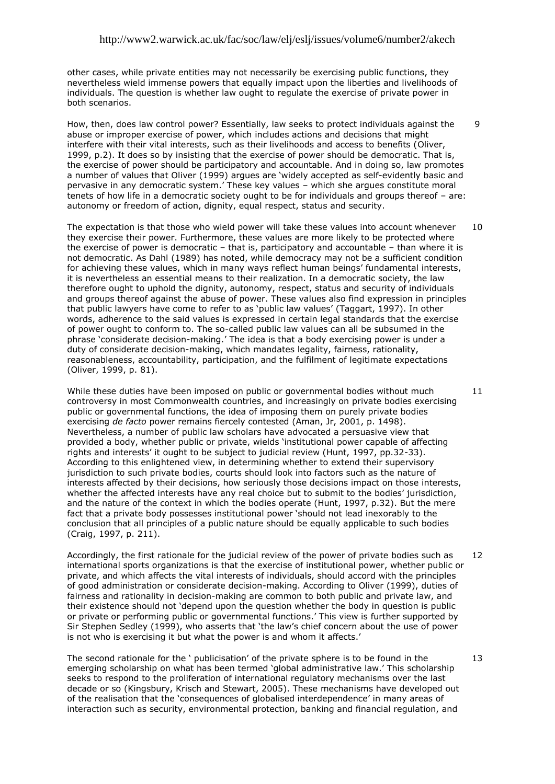other cases, while private entities may not necessarily be exercising public functions, they nevertheless wield immense powers that equally impact upon the liberties and livelihoods of individuals. The question is whether law ought to regulate the exercise of private power in both scenarios.

How, then, does law control power? Essentially, law seeks to protect individuals against the abuse or improper exercise of power, which includes actions and decisions that might interfere with their vital interests, such as their livelihoods and access to benefits (Oliver, 1999, p.2). It does so by insisting that the exercise of power should be democratic. That is, the exercise of power should be participatory and accountable. And in doing so, law promotes a number of values that Oliver (1999) argues are "widely accepted as self-evidently basic and pervasive in any democratic system." These key values – which she argues constitute moral tenets of how life in a democratic society ought to be for individuals and groups thereof – are: autonomy or freedom of action, dignity, equal respect, status and security.

The expectation is that those who wield power will take these values into account whenever they exercise their power. Furthermore, these values are more likely to be protected where the exercise of power is democratic – that is, participatory and accountable – than where it is not democratic. As Dahl (1989) has noted, while democracy may not be a sufficient condition for achieving these values, which in many ways reflect human beings' fundamental interests, it is nevertheless an essential means to their realization. In a democratic society, the law therefore ought to uphold the dignity, autonomy, respect, status and security of individuals and groups thereof against the abuse of power. These values also find expression in principles that public lawyers have come to refer to as "public law values" (Taggart, 1997). In other words, adherence to the said values is expressed in certain legal standards that the exercise of power ought to conform to. The so-called public law values can all be subsumed in the phrase 'considerate decision-making.' The idea is that a body exercising power is under a duty of considerate decision-making, which mandates legality, fairness, rationality, reasonableness, accountability, participation, and the fulfilment of legitimate expectations (Oliver, 1999, p. 81). 10

While these duties have been imposed on public or governmental bodies without much controversy in most Commonwealth countries, and increasingly on private bodies exercising public or governmental functions, the idea of imposing them on purely private bodies exercising *de facto* power remains fiercely contested (Aman, Jr, 2001, p. 1498). Nevertheless, a number of public law scholars have advocated a persuasive view that provided a body, whether public or private, wields "institutional power capable of affecting rights and interests" it ought to be subject to judicial review (Hunt, 1997, pp.32-33). According to this enlightened view, in determining whether to extend their supervisory jurisdiction to such private bodies, courts should look into factors such as the nature of interests affected by their decisions, how seriously those decisions impact on those interests, whether the affected interests have any real choice but to submit to the bodies' jurisdiction, and the nature of the context in which the bodies operate (Hunt, 1997, p.32). But the mere fact that a private body possesses institutional power "should not lead inexorably to the conclusion that all principles of a public nature should be equally applicable to such bodies (Craig, 1997, p. 211).

Accordingly, the first rationale for the judicial review of the power of private bodies such as international sports organizations is that the exercise of institutional power, whether public or private, and which affects the vital interests of individuals, should accord with the principles of good administration or considerate decision-making. According to Oliver (1999), duties of fairness and rationality in decision-making are common to both public and private law, and their existence should not "depend upon the question whether the body in question is public or private or performing public or governmental functions." This view is further supported by Sir Stephen Sedley (1999), who asserts that "the law"s chief concern about the use of power is not who is exercising it but what the power is and whom it affects.' 12

The second rationale for the " publicisation" of the private sphere is to be found in the emerging scholarship on what has been termed "global administrative law." This scholarship seeks to respond to the proliferation of international regulatory mechanisms over the last decade or so (Kingsbury, Krisch and Stewart, 2005). These mechanisms have developed out of the realisation that the "consequences of globalised interdependence" in many areas of interaction such as security, environmental protection, banking and financial regulation, and

11

13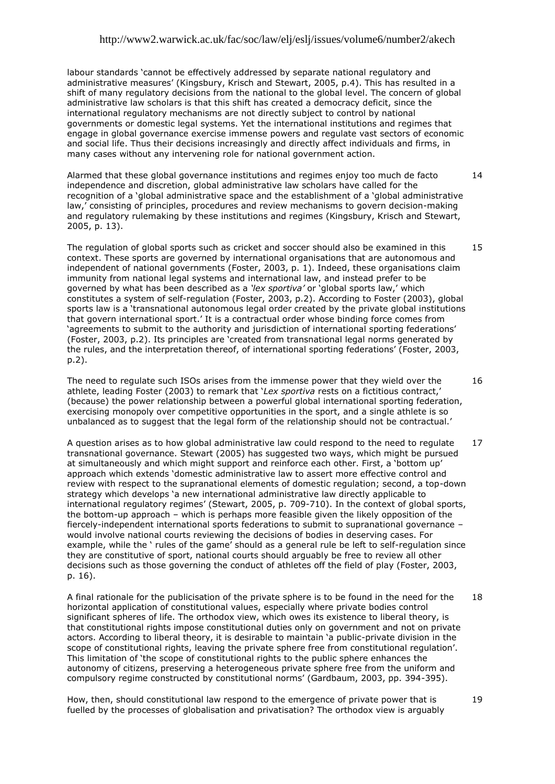labour standards "cannot be effectively addressed by separate national regulatory and administrative measures' (Kingsbury, Krisch and Stewart, 2005, p.4). This has resulted in a shift of many regulatory decisions from the national to the global level. The concern of global administrative law scholars is that this shift has created a democracy deficit, since the international regulatory mechanisms are not directly subject to control by national governments or domestic legal systems. Yet the international institutions and regimes that engage in global governance exercise immense powers and regulate vast sectors of economic and social life. Thus their decisions increasingly and directly affect individuals and firms, in many cases without any intervening role for national government action.

Alarmed that these global governance institutions and regimes enjoy too much de facto independence and discretion, global administrative law scholars have called for the recognition of a "global administrative space and the establishment of a "global administrative law,' consisting of principles, procedures and review mechanisms to govern decision-making and regulatory rulemaking by these institutions and regimes (Kingsbury, Krisch and Stewart, 2005, p. 13). 14

The regulation of global sports such as cricket and soccer should also be examined in this context. These sports are governed by international organisations that are autonomous and independent of national governments (Foster, 2003, p. 1). Indeed, these organisations claim immunity from national legal systems and international law, and instead prefer to be governed by what has been described as a *'lex sportiva'* or "global sports law," which constitutes a system of self-regulation (Foster, 2003, p.2). According to Foster (2003), global sports law is a "transnational autonomous legal order created by the private global institutions that govern international sport." It is a contractual order whose binding force comes from "agreements to submit to the authority and jurisdiction of international sporting federations" (Foster, 2003, p.2). Its principles are "created from transnational legal norms generated by the rules, and the interpretation thereof, of international sporting federations" (Foster, 2003, p.2). 15

The need to regulate such ISOs arises from the immense power that they wield over the athlete, leading Foster (2003) to remark that "*Lex sportiva* rests on a fictitious contract," (because) the power relationship between a powerful global international sporting federation, exercising monopoly over competitive opportunities in the sport, and a single athlete is so unbalanced as to suggest that the legal form of the relationship should not be contractual.'

A question arises as to how global administrative law could respond to the need to regulate transnational governance. Stewart (2005) has suggested two ways, which might be pursued at simultaneously and which might support and reinforce each other. First, a "bottom up" approach which extends "domestic administrative law to assert more effective control and review with respect to the supranational elements of domestic regulation; second, a top-down strategy which develops "a new international administrative law directly applicable to international regulatory regimes" (Stewart, 2005, p. 709-710). In the context of global sports, the bottom-up approach – which is perhaps more feasible given the likely opposition of the fiercely-independent international sports federations to submit to supranational governance – would involve national courts reviewing the decisions of bodies in deserving cases. For example, while the ' rules of the game' should as a general rule be left to self-regulation since they are constitutive of sport, national courts should arguably be free to review all other decisions such as those governing the conduct of athletes off the field of play (Foster, 2003, p. 16). 17

A final rationale for the publicisation of the private sphere is to be found in the need for the horizontal application of constitutional values, especially where private bodies control significant spheres of life. The orthodox view, which owes its existence to liberal theory, is that constitutional rights impose constitutional duties only on government and not on private actors. According to liberal theory, it is desirable to maintain "a public-private division in the scope of constitutional rights, leaving the private sphere free from constitutional regulation'. This limitation of "the scope of constitutional rights to the public sphere enhances the autonomy of citizens, preserving a heterogeneous private sphere free from the uniform and compulsory regime constructed by constitutional norms" (Gardbaum, 2003, pp. 394-395). 18

How, then, should constitutional law respond to the emergence of private power that is fuelled by the processes of globalisation and privatisation? The orthodox view is arguably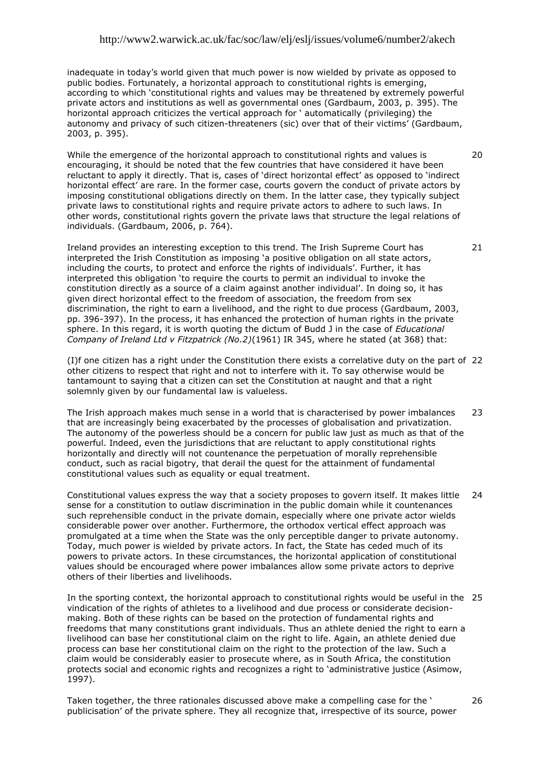inadequate in today"s world given that much power is now wielded by private as opposed to public bodies. Fortunately, a horizontal approach to constitutional rights is emerging, according to which "constitutional rights and values may be threatened by extremely powerful private actors and institutions as well as governmental ones (Gardbaum, 2003, p. 395). The horizontal approach criticizes the vertical approach for " automatically (privileging) the autonomy and privacy of such citizen-threateners (sic) over that of their victims" (Gardbaum, 2003, p. 395).

While the emergence of the horizontal approach to constitutional rights and values is encouraging, it should be noted that the few countries that have considered it have been reluctant to apply it directly. That is, cases of "direct horizontal effect" as opposed to "indirect horizontal effect" are rare. In the former case, courts govern the conduct of private actors by imposing constitutional obligations directly on them. In the latter case, they typically subject private laws to constitutional rights and require private actors to adhere to such laws. In other words, constitutional rights govern the private laws that structure the legal relations of individuals. (Gardbaum, 2006, p. 764).

Ireland provides an interesting exception to this trend. The Irish Supreme Court has interpreted the Irish Constitution as imposing 'a positive obligation on all state actors, including the courts, to protect and enforce the rights of individuals". Further, it has interpreted this obligation "to require the courts to permit an individual to invoke the constitution directly as a source of a claim against another individual". In doing so, it has given direct horizontal effect to the freedom of association, the freedom from sex discrimination, the right to earn a livelihood, and the right to due process (Gardbaum, 2003, pp. 396-397). In the process, it has enhanced the protection of human rights in the private sphere. In this regard, it is worth quoting the dictum of Budd J in the case of *Educational Company of Ireland Ltd v Fitzpatrick (No.2)*(1961) IR 345, where he stated (at 368) that:

(I)f one citizen has a right under the Constitution there exists a correlative duty on the part of 22 other citizens to respect that right and not to interfere with it. To say otherwise would be tantamount to saying that a citizen can set the Constitution at naught and that a right solemnly given by our fundamental law is valueless.

The Irish approach makes much sense in a world that is characterised by power imbalances that are increasingly being exacerbated by the processes of globalisation and privatization. The autonomy of the powerless should be a concern for public law just as much as that of the powerful. Indeed, even the jurisdictions that are reluctant to apply constitutional rights horizontally and directly will not countenance the perpetuation of morally reprehensible conduct, such as racial bigotry, that derail the quest for the attainment of fundamental constitutional values such as equality or equal treatment.  $23$ 

Constitutional values express the way that a society proposes to govern itself. It makes little sense for a constitution to outlaw discrimination in the public domain while it countenances such reprehensible conduct in the private domain, especially where one private actor wields considerable power over another. Furthermore, the orthodox vertical effect approach was promulgated at a time when the State was the only perceptible danger to private autonomy. Today, much power is wielded by private actors. In fact, the State has ceded much of its powers to private actors. In these circumstances, the horizontal application of constitutional values should be encouraged where power imbalances allow some private actors to deprive others of their liberties and livelihoods.  $24$ 

In the sporting context, the horizontal approach to constitutional rights would be useful in the 25 vindication of the rights of athletes to a livelihood and due process or considerate decisionmaking. Both of these rights can be based on the protection of fundamental rights and freedoms that many constitutions grant individuals. Thus an athlete denied the right to earn a livelihood can base her constitutional claim on the right to life. Again, an athlete denied due process can base her constitutional claim on the right to the protection of the law. Such a claim would be considerably easier to prosecute where, as in South Africa, the constitution protects social and economic rights and recognizes a right to "administrative justice (Asimow, 1997).

Taken together, the three rationales discussed above make a compelling case for the " publicisation" of the private sphere. They all recognize that, irrespective of its source, power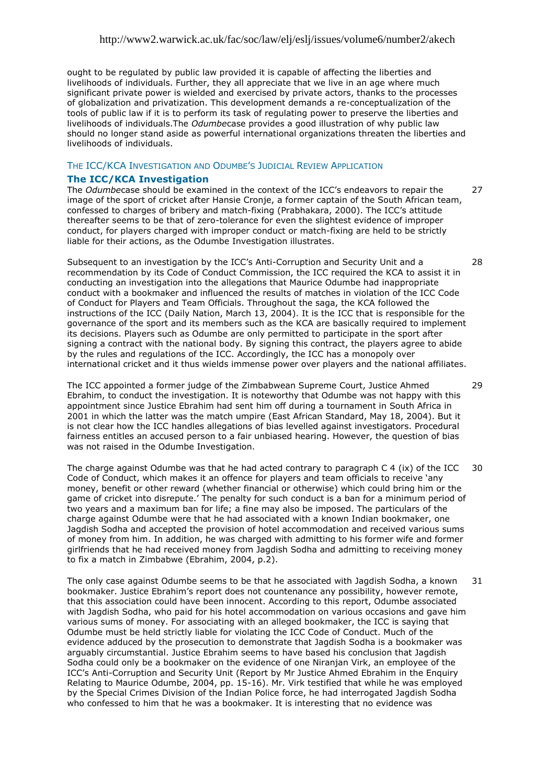ought to be regulated by public law provided it is capable of affecting the liberties and livelihoods of individuals. Further, they all appreciate that we live in an age where much significant private power is wielded and exercised by private actors, thanks to the processes of globalization and privatization. This development demands a re-conceptualization of the tools of public law if it is to perform its task of regulating power to preserve the liberties and livelihoods of individuals.The *Odumbe*case provides a good illustration of why public law should no longer stand aside as powerful international organizations threaten the liberties and livelihoods of individuals.

#### THE ICC/KCA INVESTIGATION AND ODUMBE"S JUDICIAL REVIEW APPLICATION

#### **The ICC/KCA Investigation**

The *Odumbe*case should be examined in the context of the ICC"s endeavors to repair the image of the sport of cricket after Hansie Cronje, a former captain of the South African team, confessed to charges of bribery and match-fixing (Prabhakara, 2000). The ICC"s attitude thereafter seems to be that of zero-tolerance for even the slightest evidence of improper conduct, for players charged with improper conduct or match-fixing are held to be strictly liable for their actions, as the Odumbe Investigation illustrates. 27

Subsequent to an investigation by the ICC"s Anti-Corruption and Security Unit and a recommendation by its Code of Conduct Commission, the ICC required the KCA to assist it in conducting an investigation into the allegations that Maurice Odumbe had inappropriate conduct with a bookmaker and influenced the results of matches in violation of the ICC Code of Conduct for Players and Team Officials. Throughout the saga, the KCA followed the instructions of the ICC (Daily Nation, March 13, 2004). It is the ICC that is responsible for the governance of the sport and its members such as the KCA are basically required to implement its decisions. Players such as Odumbe are only permitted to participate in the sport after signing a contract with the national body. By signing this contract, the players agree to abide by the rules and regulations of the ICC. Accordingly, the ICC has a monopoly over international cricket and it thus wields immense power over players and the national affiliates.

The ICC appointed a former judge of the Zimbabwean Supreme Court, Justice Ahmed Ebrahim, to conduct the investigation. It is noteworthy that Odumbe was not happy with this appointment since Justice Ebrahim had sent him off during a tournament in South Africa in 2001 in which the latter was the match umpire (East African Standard, May 18, 2004). But it is not clear how the ICC handles allegations of bias levelled against investigators. Procedural fairness entitles an accused person to a fair unbiased hearing. However, the question of bias was not raised in the Odumbe Investigation.

The charge against Odumbe was that he had acted contrary to paragraph C 4 (ix) of the ICC Code of Conduct, which makes it an offence for players and team officials to receive "any money, benefit or other reward (whether financial or otherwise) which could bring him or the game of cricket into disrepute." The penalty for such conduct is a ban for a minimum period of two years and a maximum ban for life; a fine may also be imposed. The particulars of the charge against Odumbe were that he had associated with a known Indian bookmaker, one Jagdish Sodha and accepted the provision of hotel accommodation and received various sums of money from him. In addition, he was charged with admitting to his former wife and former girlfriends that he had received money from Jagdish Sodha and admitting to receiving money to fix a match in Zimbabwe (Ebrahim, 2004, p.2). 30

The only case against Odumbe seems to be that he associated with Jagdish Sodha, a known bookmaker. Justice Ebrahim"s report does not countenance any possibility, however remote, that this association could have been innocent. According to this report, Odumbe associated with Jagdish Sodha, who paid for his hotel accommodation on various occasions and gave him various sums of money. For associating with an alleged bookmaker, the ICC is saying that Odumbe must be held strictly liable for violating the ICC Code of Conduct. Much of the evidence adduced by the prosecution to demonstrate that Jagdish Sodha is a bookmaker was arguably circumstantial. Justice Ebrahim seems to have based his conclusion that Jagdish Sodha could only be a bookmaker on the evidence of one Niranjan Virk, an employee of the ICC"s Anti-Corruption and Security Unit (Report by Mr Justice Ahmed Ebrahim in the Enquiry Relating to Maurice Odumbe, 2004, pp. 15-16). Mr. Virk testified that while he was employed by the Special Crimes Division of the Indian Police force, he had interrogated Jagdish Sodha who confessed to him that he was a bookmaker. It is interesting that no evidence was 31

28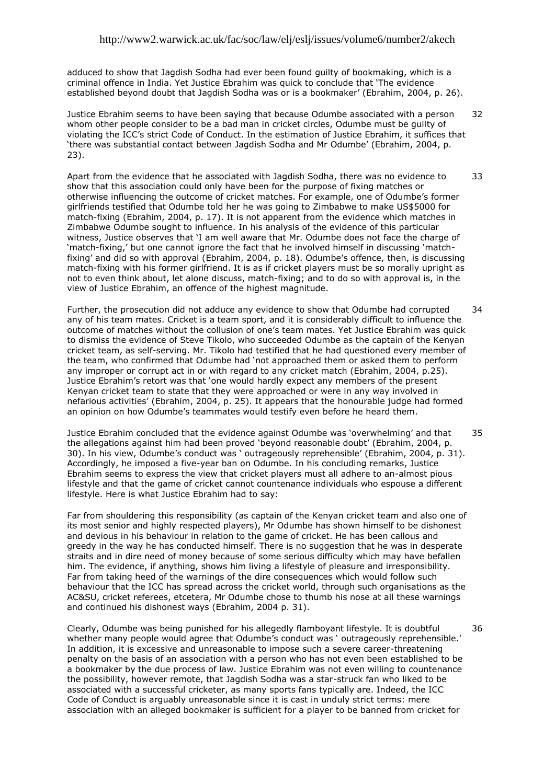adduced to show that Jagdish Sodha had ever been found guilty of bookmaking, which is a criminal offence in India. Yet Justice Ebrahim was quick to conclude that "The evidence established beyond doubt that Jagdish Sodha was or is a bookmaker" (Ebrahim, 2004, p. 26).

Justice Ebrahim seems to have been saying that because Odumbe associated with a person whom other people consider to be a bad man in cricket circles, Odumbe must be guilty of violating the ICC"s strict Code of Conduct. In the estimation of Justice Ebrahim, it suffices that 'there was substantial contact between Jagdish Sodha and Mr Odumbe' (Ebrahim, 2004, p. 23). 32

Apart from the evidence that he associated with Jagdish Sodha, there was no evidence to show that this association could only have been for the purpose of fixing matches or otherwise influencing the outcome of cricket matches. For example, one of Odumbe"s former girlfriends testified that Odumbe told her he was going to Zimbabwe to make US\$5000 for match-fixing (Ebrahim, 2004, p. 17). It is not apparent from the evidence which matches in Zimbabwe Odumbe sought to influence. In his analysis of the evidence of this particular witness, Justice observes that "I am well aware that Mr. Odumbe does not face the charge of 'match-fixing,' but one cannot ignore the fact that he involved himself in discussing 'matchfixing' and did so with approval (Ebrahim, 2004, p. 18). Odumbe's offence, then, is discussing match-fixing with his former girlfriend. It is as if cricket players must be so morally upright as not to even think about, let alone discuss, match-fixing; and to do so with approval is, in the view of Justice Ebrahim, an offence of the highest magnitude. 33

Further, the prosecution did not adduce any evidence to show that Odumbe had corrupted any of his team mates. Cricket is a team sport, and it is considerably difficult to influence the outcome of matches without the collusion of one's team mates. Yet Justice Ebrahim was quick to dismiss the evidence of Steve Tikolo, who succeeded Odumbe as the captain of the Kenyan cricket team, as self-serving. Mr. Tikolo had testified that he had questioned every member of the team, who confirmed that Odumbe had "not approached them or asked them to perform any improper or corrupt act in or with regard to any cricket match (Ebrahim, 2004, p.25). Justice Ebrahim"s retort was that "one would hardly expect any members of the present Kenyan cricket team to state that they were approached or were in any way involved in nefarious activities" (Ebrahim, 2004, p. 25). It appears that the honourable judge had formed an opinion on how Odumbe's teammates would testify even before he heard them. 34

Justice Ebrahim concluded that the evidence against Odumbe was "overwhelming" and that the allegations against him had been proved "beyond reasonable doubt" (Ebrahim, 2004, p. 30). In his view, Odumbe"s conduct was " outrageously reprehensible" (Ebrahim, 2004, p. 31). Accordingly, he imposed a five-year ban on Odumbe. In his concluding remarks, Justice Ebrahim seems to express the view that cricket players must all adhere to an-almost pious lifestyle and that the game of cricket cannot countenance individuals who espouse a different lifestyle. Here is what Justice Ebrahim had to say: 35

Far from shouldering this responsibility (as captain of the Kenyan cricket team and also one of its most senior and highly respected players), Mr Odumbe has shown himself to be dishonest and devious in his behaviour in relation to the game of cricket. He has been callous and greedy in the way he has conducted himself. There is no suggestion that he was in desperate straits and in dire need of money because of some serious difficulty which may have befallen him. The evidence, if anything, shows him living a lifestyle of pleasure and irresponsibility. Far from taking heed of the warnings of the dire consequences which would follow such behaviour that the ICC has spread across the cricket world, through such organisations as the AC&SU, cricket referees, etcetera, Mr Odumbe chose to thumb his nose at all these warnings and continued his dishonest ways (Ebrahim, 2004 p. 31).

Clearly, Odumbe was being punished for his allegedly flamboyant lifestyle. It is doubtful whether many people would agree that Odumbe's conduct was ' outrageously reprehensible.' In addition, it is excessive and unreasonable to impose such a severe career-threatening penalty on the basis of an association with a person who has not even been established to be a bookmaker by the due process of law. Justice Ebrahim was not even willing to countenance the possibility, however remote, that Jagdish Sodha was a star-struck fan who liked to be associated with a successful cricketer, as many sports fans typically are. Indeed, the ICC Code of Conduct is arguably unreasonable since it is cast in unduly strict terms: mere association with an alleged bookmaker is sufficient for a player to be banned from cricket for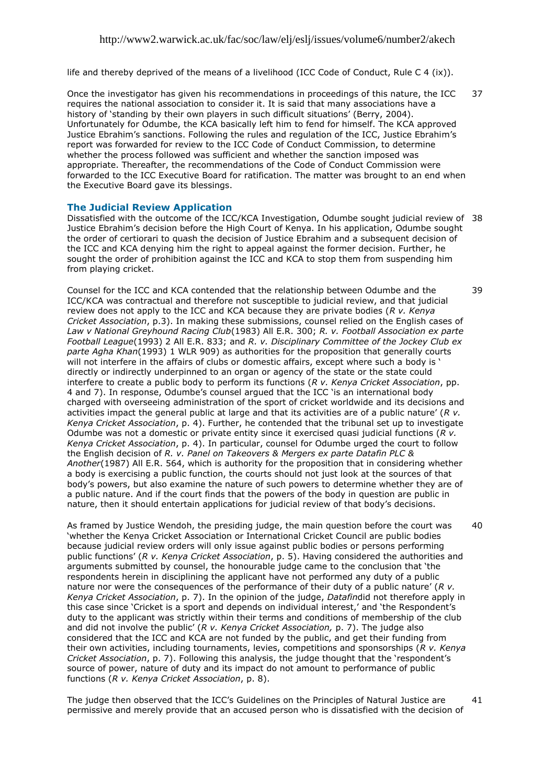life and thereby deprived of the means of a livelihood (ICC Code of Conduct, Rule C 4 (ix)).

Once the investigator has given his recommendations in proceedings of this nature, the ICC requires the national association to consider it. It is said that many associations have a history of 'standing by their own players in such difficult situations' (Berry, 2004). Unfortunately for Odumbe, the KCA basically left him to fend for himself. The KCA approved Justice Ebrahim"s sanctions. Following the rules and regulation of the ICC, Justice Ebrahim"s report was forwarded for review to the ICC Code of Conduct Commission, to determine whether the process followed was sufficient and whether the sanction imposed was appropriate. Thereafter, the recommendations of the Code of Conduct Commission were forwarded to the ICC Executive Board for ratification. The matter was brought to an end when the Executive Board gave its blessings. 37

### **The Judicial Review Application**

Dissatisfied with the outcome of the ICC/KCA Investigation, Odumbe sought judicial review of 38 Justice Ebrahim"s decision before the High Court of Kenya. In his application, Odumbe sought the order of certiorari to quash the decision of Justice Ebrahim and a subsequent decision of the ICC and KCA denying him the right to appeal against the former decision. Further, he sought the order of prohibition against the ICC and KCA to stop them from suspending him from playing cricket.

39

40

Counsel for the ICC and KCA contended that the relationship between Odumbe and the ICC/KCA was contractual and therefore not susceptible to judicial review, and that judicial review does not apply to the ICC and KCA because they are private bodies (*R v. Kenya Cricket Association*, p.3). In making these submissions, counsel relied on the English cases of *Law v National Greyhound Racing Club*(1983) All E.R. 300; *R. v. Football Association ex parte Football League*(1993) 2 All E.R. 833; and *R. v. Disciplinary Committee of the Jockey Club ex parte Agha Khan*(1993) 1 WLR 909) as authorities for the proposition that generally courts will not interfere in the affairs of clubs or domestic affairs, except where such a body is ' directly or indirectly underpinned to an organ or agency of the state or the state could interfere to create a public body to perform its functions (*R v. Kenya Cricket Association*, pp. 4 and 7). In response, Odumbe's counsel arqued that the ICC 'is an international body charged with overseeing administration of the sport of cricket worldwide and its decisions and activities impact the general public at large and that its activities are of a public nature" (*R v. Kenya Cricket Association*, p. 4). Further, he contended that the tribunal set up to investigate Odumbe was not a domestic or private entity since it exercised quasi judicial functions (*R v. Kenya Cricket Association*, p. 4). In particular, counsel for Odumbe urged the court to follow the English decision of *R. v. Panel on Takeovers & Mergers ex parte Datafin PLC & Another*(1987) All E.R. 564, which is authority for the proposition that in considering whether a body is exercising a public function, the courts should not just look at the sources of that body"s powers, but also examine the nature of such powers to determine whether they are of a public nature. And if the court finds that the powers of the body in question are public in nature, then it should entertain applications for judicial review of that body"s decisions.

As framed by Justice Wendoh, the presiding judge, the main question before the court was "whether the Kenya Cricket Association or International Cricket Council are public bodies because judicial review orders will only issue against public bodies or persons performing public functions" (*R v. Kenya Cricket Association*, p. 5). Having considered the authorities and arguments submitted by counsel, the honourable judge came to the conclusion that "the respondents herein in disciplining the applicant have not performed any duty of a public nature nor were the consequences of the performance of their duty of a public nature" (*R v. Kenya Cricket Association*, p. 7). In the opinion of the judge, *Datafin*did not therefore apply in this case since 'Cricket is a sport and depends on individual interest,' and 'the Respondent's duty to the applicant was strictly within their terms and conditions of membership of the club and did not involve the public" (*R v. Kenya Cricket Association,* p. 7). The judge also considered that the ICC and KCA are not funded by the public, and get their funding from their own activities, including tournaments, levies, competitions and sponsorships (*R v. Kenya Cricket Association*, p. 7). Following this analysis, the judge thought that the "respondent"s source of power, nature of duty and its impact do not amount to performance of public functions (*R v. Kenya Cricket Association*, p. 8).

The judge then observed that the ICC"s Guidelines on the Principles of Natural Justice are permissive and merely provide that an accused person who is dissatisfied with the decision of 41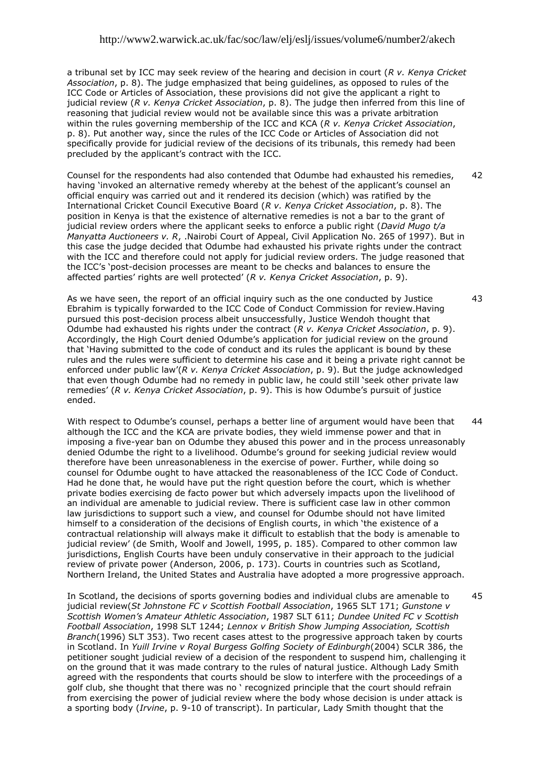a tribunal set by ICC may seek review of the hearing and decision in court (*R v. Kenya Cricket Association*, p. 8). The judge emphasized that being guidelines, as opposed to rules of the ICC Code or Articles of Association, these provisions did not give the applicant a right to judicial review (*R v. Kenya Cricket Association*, p. 8). The judge then inferred from this line of reasoning that judicial review would not be available since this was a private arbitration within the rules governing membership of the ICC and KCA (*R v. Kenya Cricket Association*, p. 8). Put another way, since the rules of the ICC Code or Articles of Association did not specifically provide for judicial review of the decisions of its tribunals, this remedy had been precluded by the applicant's contract with the ICC.

Counsel for the respondents had also contended that Odumbe had exhausted his remedies, having "invoked an alternative remedy whereby at the behest of the applicant"s counsel an official enquiry was carried out and it rendered its decision (which) was ratified by the International Cricket Council Executive Board (*R v. Kenya Cricket Association*, p. 8). The position in Kenya is that the existence of alternative remedies is not a bar to the grant of judicial review orders where the applicant seeks to enforce a public right (*David Mugo t/a Manyatta Auctioneers v. R*, .Nairobi Court of Appeal, Civil Application No. 265 of 1997). But in this case the judge decided that Odumbe had exhausted his private rights under the contract with the ICC and therefore could not apply for judicial review orders. The judge reasoned that the ICC"s "post-decision processes are meant to be checks and balances to ensure the affected parties" rights are well protected" (*R v. Kenya Cricket Association*, p. 9). 42

As we have seen, the report of an official inquiry such as the one conducted by Justice Ebrahim is typically forwarded to the ICC Code of Conduct Commission for review.Having pursued this post-decision process albeit unsuccessfully, Justice Wendoh thought that Odumbe had exhausted his rights under the contract (*R v. Kenya Cricket Association*, p. 9). Accordingly, the High Court denied Odumbe's application for judicial review on the ground that "Having submitted to the code of conduct and its rules the applicant is bound by these rules and the rules were sufficient to determine his case and it being a private right cannot be enforced under public law"(*R v. Kenya Cricket Association*, p. 9). But the judge acknowledged that even though Odumbe had no remedy in public law, he could still "seek other private law remedies" (*R v. Kenya Cricket Association*, p. 9). This is how Odumbe"s pursuit of justice ended.

With respect to Odumbe's counsel, perhaps a better line of argument would have been that although the ICC and the KCA are private bodies, they wield immense power and that in imposing a five-year ban on Odumbe they abused this power and in the process unreasonably denied Odumbe the right to a livelihood. Odumbe"s ground for seeking judicial review would therefore have been unreasonableness in the exercise of power. Further, while doing so counsel for Odumbe ought to have attacked the reasonableness of the ICC Code of Conduct. Had he done that, he would have put the right question before the court, which is whether private bodies exercising de facto power but which adversely impacts upon the livelihood of an individual are amenable to judicial review. There is sufficient case law in other common law jurisdictions to support such a view, and counsel for Odumbe should not have limited himself to a consideration of the decisions of English courts, in which "the existence of a contractual relationship will always make it difficult to establish that the body is amenable to judicial review" (de Smith, Woolf and Jowell, 1995, p. 185). Compared to other common law jurisdictions, English Courts have been unduly conservative in their approach to the judicial review of private power (Anderson, 2006, p. 173). Courts in countries such as Scotland, Northern Ireland, the United States and Australia have adopted a more progressive approach. 44

In Scotland, the decisions of sports governing bodies and individual clubs are amenable to judicial review(*St Johnstone FC v Scottish Football Association*, 1965 SLT 171; *Gunstone v Scottish Women's Amateur Athletic Association*, 1987 SLT 611; *Dundee United FC v Scottish Football Association*, 1998 SLT 1244; *Lennox v British Show Jumping Association, Scottish Branch*(1996) SLT 353). Two recent cases attest to the progressive approach taken by courts in Scotland. In *Yuill Irvine v Royal Burgess Golfing Society of Edinburgh*(2004) SCLR 386, the petitioner sought judicial review of a decision of the respondent to suspend him, challenging it on the ground that it was made contrary to the rules of natural justice. Although Lady Smith agreed with the respondents that courts should be slow to interfere with the proceedings of a golf club, she thought that there was no " recognized principle that the court should refrain from exercising the power of judicial review where the body whose decision is under attack is a sporting body (*Irvine*, p. 9-10 of transcript). In particular, Lady Smith thought that the 45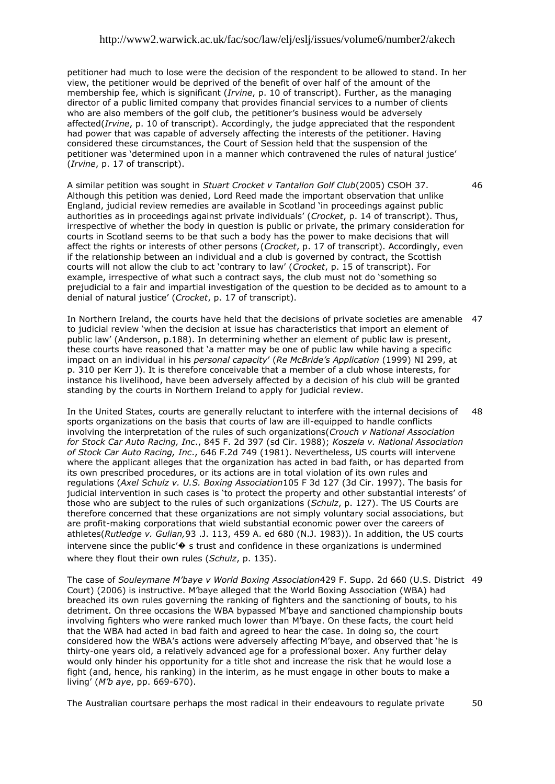petitioner had much to lose were the decision of the respondent to be allowed to stand. In her view, the petitioner would be deprived of the benefit of over half of the amount of the membership fee, which is significant (*Irvine*, p. 10 of transcript). Further, as the managing director of a public limited company that provides financial services to a number of clients who are also members of the golf club, the petitioner"s business would be adversely affected(*Irvine*, p. 10 of transcript). Accordingly, the judge appreciated that the respondent had power that was capable of adversely affecting the interests of the petitioner. Having considered these circumstances, the Court of Session held that the suspension of the petitioner was "determined upon in a manner which contravened the rules of natural justice" (*Irvine*, p. 17 of transcript).

A similar petition was sought in *Stuart Crocket v Tantallon Golf Club*(2005) CSOH 37. Although this petition was denied, Lord Reed made the important observation that unlike England, judicial review remedies are available in Scotland "in proceedings against public authorities as in proceedings against private individuals" (*Crocket*, p. 14 of transcript). Thus, irrespective of whether the body in question is public or private, the primary consideration for courts in Scotland seems to be that such a body has the power to make decisions that will affect the rights or interests of other persons (*Crocket*, p. 17 of transcript). Accordingly, even if the relationship between an individual and a club is governed by contract, the Scottish courts will not allow the club to act "contrary to law" (*Crocket*, p. 15 of transcript). For example, irrespective of what such a contract says, the club must not do "something so prejudicial to a fair and impartial investigation of the question to be decided as to amount to a denial of natural justice" (*Crocket*, p. 17 of transcript).

In Northern Ireland, the courts have held that the decisions of private societies are amenable 47 to judicial review "when the decision at issue has characteristics that import an element of public law" (Anderson, p.188). In determining whether an element of public law is present, these courts have reasoned that "a matter may be one of public law while having a specific impact on an individual in his *personal capacity*" (*Re McBride's Application* (1999) NI 299, at p. 310 per Kerr J). It is therefore conceivable that a member of a club whose interests, for instance his livelihood, have been adversely affected by a decision of his club will be granted standing by the courts in Northern Ireland to apply for judicial review.

In the United States, courts are generally reluctant to interfere with the internal decisions of sports organizations on the basis that courts of law are ill-equipped to handle conflicts involving the interpretation of the rules of such organizations(*Crouch v National Association for Stock Car Auto Racing, Inc*., 845 F. 2d 397 (sd Cir. 1988); *Koszela v. National Association of Stock Car Auto Racing, Inc*., 646 F.2d 749 (1981). Nevertheless, US courts will intervene where the applicant alleges that the organization has acted in bad faith, or has departed from its own prescribed procedures, or its actions are in total violation of its own rules and regulations (*Axel Schulz v. U.S. Boxing Association*105 F 3d 127 (3d Cir. 1997). The basis for judicial intervention in such cases is 'to protect the property and other substantial interests' of those who are subject to the rules of such organizations (*Schulz*, p. 127). The US Courts are therefore concerned that these organizations are not simply voluntary social associations, but are profit-making corporations that wield substantial economic power over the careers of athletes(*Rutledge v. Gulian,*93 .J. 113, 459 A. ed 680 (N.J. 1983)). In addition, the US courts intervene since the public  $\Diamond$  s trust and confidence in these organizations is undermined where they flout their own rules (*Schulz*, p. 135). 48

The case of *Souleymane M'baye v World Boxing Association*429 F. Supp. 2d 660 (U.S. District 49 Court) (2006) is instructive. M"baye alleged that the World Boxing Association (WBA) had breached its own rules governing the ranking of fighters and the sanctioning of bouts, to his detriment. On three occasions the WBA bypassed M"baye and sanctioned championship bouts involving fighters who were ranked much lower than M"baye. On these facts, the court held that the WBA had acted in bad faith and agreed to hear the case. In doing so, the court considered how the WBA"s actions were adversely affecting M"baye, and observed that "he is thirty-one years old, a relatively advanced age for a professional boxer. Any further delay would only hinder his opportunity for a title shot and increase the risk that he would lose a fight (and, hence, his ranking) in the interim, as he must engage in other bouts to make a living" (*M'b aye*, pp. 669-670).

The Australian courtsare perhaps the most radical in their endeavours to regulate private 50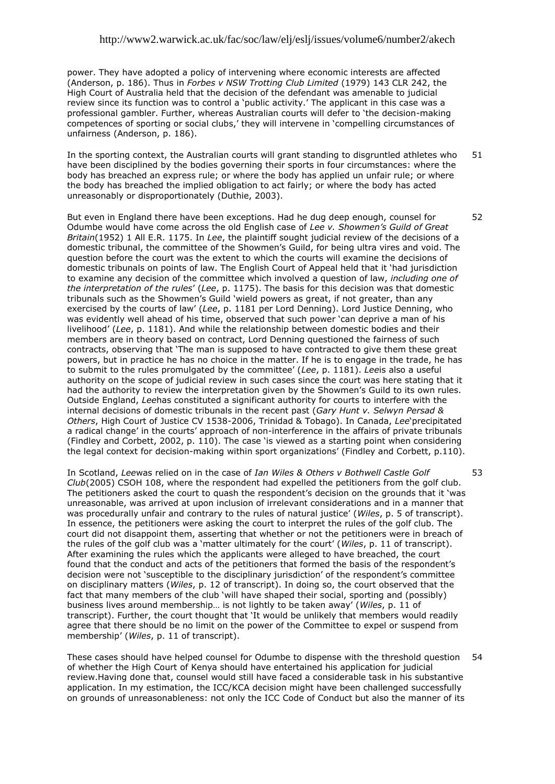power. They have adopted a policy of intervening where economic interests are affected (Anderson, p. 186). Thus in *Forbes v NSW Trotting Club Limited* (1979) 143 CLR 242, the High Court of Australia held that the decision of the defendant was amenable to judicial review since its function was to control a "public activity." The applicant in this case was a professional gambler. Further, whereas Australian courts will defer to "the decision-making competences of sporting or social clubs," they will intervene in "compelling circumstances of unfairness (Anderson, p. 186).

In the sporting context, the Australian courts will grant standing to disgruntled athletes who have been disciplined by the bodies governing their sports in four circumstances: where the body has breached an express rule; or where the body has applied un unfair rule; or where the body has breached the implied obligation to act fairly; or where the body has acted unreasonably or disproportionately (Duthie, 2003). 51

But even in England there have been exceptions. Had he dug deep enough, counsel for Odumbe would have come across the old English case of *Lee v. Showmen's Guild of Great Britain*(1952) 1 All E.R. 1175. In *Lee*, the plaintiff sought judicial review of the decisions of a domestic tribunal, the committee of the Showmen"s Guild, for being ultra vires and void. The question before the court was the extent to which the courts will examine the decisions of domestic tribunals on points of law. The English Court of Appeal held that it "had jurisdiction to examine any decision of the committee which involved a question of law, *including one of the interpretation of the rules*" (*Lee*, p. 1175). The basis for this decision was that domestic tribunals such as the Showmen"s Guild "wield powers as great, if not greater, than any exercised by the courts of law" (*Lee*, p. 1181 per Lord Denning). Lord Justice Denning, who was evidently well ahead of his time, observed that such power "can deprive a man of his livelihood" (*Lee*, p. 1181). And while the relationship between domestic bodies and their members are in theory based on contract, Lord Denning questioned the fairness of such contracts, observing that "The man is supposed to have contracted to give them these great powers, but in practice he has no choice in the matter. If he is to engage in the trade, he has to submit to the rules promulgated by the committee" (*Lee*, p. 1181). *Lee*is also a useful authority on the scope of judicial review in such cases since the court was here stating that it had the authority to review the interpretation given by the Showmen's Guild to its own rules. Outside England, *Lee*has constituted a significant authority for courts to interfere with the internal decisions of domestic tribunals in the recent past (*Gary Hunt v. Selwyn Persad & Others*, High Court of Justice CV 1538-2006, Trinidad & Tobago). In Canada, *Lee*"precipitated a radical change' in the courts' approach of non-interference in the affairs of private tribunals (Findley and Corbett, 2002, p. 110). The case "is viewed as a starting point when considering the legal context for decision-making within sport organizations" (Findley and Corbett, p.110).

In Scotland, *Lee*was relied on in the case of *Ian Wiles & Others v Bothwell Castle Golf Club*(2005) CSOH 108, where the respondent had expelled the petitioners from the golf club. The petitioners asked the court to quash the respondent's decision on the grounds that it 'was unreasonable, was arrived at upon inclusion of irrelevant considerations and in a manner that was procedurally unfair and contrary to the rules of natural justice" (*Wiles*, p. 5 of transcript). In essence, the petitioners were asking the court to interpret the rules of the golf club. The court did not disappoint them, asserting that whether or not the petitioners were in breach of the rules of the golf club was a "matter ultimately for the court" (*Wiles*, p. 11 of transcript). After examining the rules which the applicants were alleged to have breached, the court found that the conduct and acts of the petitioners that formed the basis of the respondent"s decision were not 'susceptible to the disciplinary jurisdiction' of the respondent's committee on disciplinary matters (*Wiles*, p. 12 of transcript). In doing so, the court observed that the fact that many members of the club "will have shaped their social, sporting and (possibly) business lives around membership… is not lightly to be taken away" (*Wiles*, p. 11 of transcript). Further, the court thought that "It would be unlikely that members would readily agree that there should be no limit on the power of the Committee to expel or suspend from membership" (*Wiles*, p. 11 of transcript).

These cases should have helped counsel for Odumbe to dispense with the threshold question of whether the High Court of Kenya should have entertained his application for judicial review.Having done that, counsel would still have faced a considerable task in his substantive application. In my estimation, the ICC/KCA decision might have been challenged successfully on grounds of unreasonableness: not only the ICC Code of Conduct but also the manner of its 54

53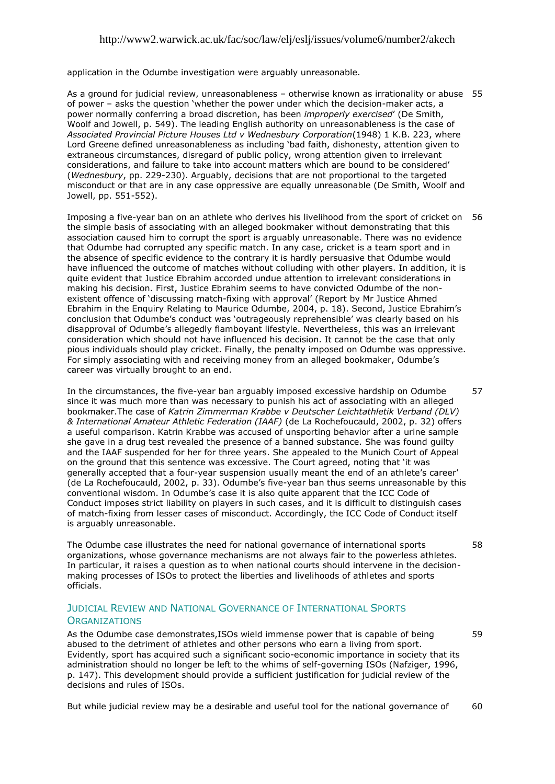application in the Odumbe investigation were arguably unreasonable.

As a ground for judicial review, unreasonableness – otherwise known as irrationality or abuse 55 of power – asks the question "whether the power under which the decision-maker acts, a power normally conferring a broad discretion, has been *improperly exercised*" (De Smith, Woolf and Jowell, p. 549). The leading English authority on unreasonableness is the case of *Associated Provincial Picture Houses Ltd v Wednesbury Corporation*(1948) 1 K.B. 223, where Lord Greene defined unreasonableness as including "bad faith, dishonesty, attention given to extraneous circumstances, disregard of public policy, wrong attention given to irrelevant considerations, and failure to take into account matters which are bound to be considered" (*Wednesbury*, pp. 229-230). Arguably, decisions that are not proportional to the targeted misconduct or that are in any case oppressive are equally unreasonable (De Smith, Woolf and Jowell, pp. 551-552).

Imposing a five-year ban on an athlete who derives his livelihood from the sport of cricket on 56 the simple basis of associating with an alleged bookmaker without demonstrating that this association caused him to corrupt the sport is arguably unreasonable. There was no evidence that Odumbe had corrupted any specific match. In any case, cricket is a team sport and in the absence of specific evidence to the contrary it is hardly persuasive that Odumbe would have influenced the outcome of matches without colluding with other players. In addition, it is quite evident that Justice Ebrahim accorded undue attention to irrelevant considerations in making his decision. First, Justice Ebrahim seems to have convicted Odumbe of the nonexistent offence of 'discussing match-fixing with approval' (Report by Mr Justice Ahmed Ebrahim in the Enquiry Relating to Maurice Odumbe, 2004, p. 18). Second, Justice Ebrahim"s conclusion that Odumbe"s conduct was "outrageously reprehensible" was clearly based on his disapproval of Odumbe"s allegedly flamboyant lifestyle. Nevertheless, this was an irrelevant consideration which should not have influenced his decision. It cannot be the case that only pious individuals should play cricket. Finally, the penalty imposed on Odumbe was oppressive. For simply associating with and receiving money from an alleged bookmaker, Odumbe"s career was virtually brought to an end.

In the circumstances, the five-year ban arguably imposed excessive hardship on Odumbe since it was much more than was necessary to punish his act of associating with an alleged bookmaker.The case of *Katrin Zimmerman Krabbe v Deutscher Leichtathletik Verband (DLV) & International Amateur Athletic Federation (IAAF)* (de La Rochefoucauld, 2002, p. 32) offers a useful comparison. Katrin Krabbe was accused of unsporting behavior after a urine sample she gave in a drug test revealed the presence of a banned substance. She was found guilty and the IAAF suspended for her for three years. She appealed to the Munich Court of Appeal on the ground that this sentence was excessive. The Court agreed, noting that "it was generally accepted that a four-year suspension usually meant the end of an athlete's career' (de La Rochefoucauld, 2002, p. 33). Odumbe"s five-year ban thus seems unreasonable by this conventional wisdom. In Odumbe's case it is also quite apparent that the ICC Code of Conduct imposes strict liability on players in such cases, and it is difficult to distinguish cases of match-fixing from lesser cases of misconduct. Accordingly, the ICC Code of Conduct itself is arguably unreasonable. 57

The Odumbe case illustrates the need for national governance of international sports organizations, whose governance mechanisms are not always fair to the powerless athletes. In particular, it raises a question as to when national courts should intervene in the decisionmaking processes of ISOs to protect the liberties and livelihoods of athletes and sports officials.

58

59

# JUDICIAL REVIEW AND NATIONAL GOVERNANCE OF INTERNATIONAL SPORTS **ORGANIZATIONS**

As the Odumbe case demonstrates,ISOs wield immense power that is capable of being abused to the detriment of athletes and other persons who earn a living from sport. Evidently, sport has acquired such a significant socio-economic importance in society that its administration should no longer be left to the whims of self-governing ISOs (Nafziger, 1996, p. 147). This development should provide a sufficient justification for judicial review of the decisions and rules of ISOs.

But while judicial review may be a desirable and useful tool for the national governance of 60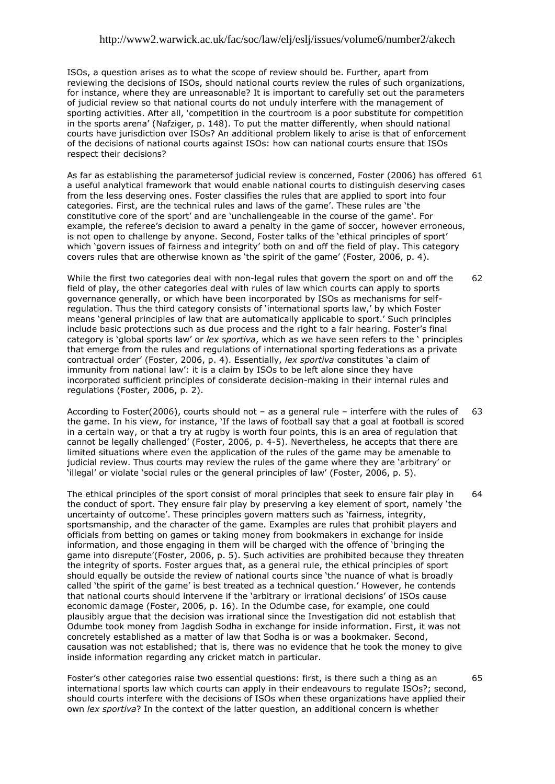ISOs, a question arises as to what the scope of review should be. Further, apart from reviewing the decisions of ISOs, should national courts review the rules of such organizations, for instance, where they are unreasonable? It is important to carefully set out the parameters of judicial review so that national courts do not unduly interfere with the management of sporting activities. After all, "competition in the courtroom is a poor substitute for competition in the sports arena" (Nafziger, p. 148). To put the matter differently, when should national courts have jurisdiction over ISOs? An additional problem likely to arise is that of enforcement of the decisions of national courts against ISOs: how can national courts ensure that ISOs respect their decisions?

As far as establishing the parametersof judicial review is concerned, Foster (2006) has offered 61 a useful analytical framework that would enable national courts to distinguish deserving cases from the less deserving ones. Foster classifies the rules that are applied to sport into four categories. First, are the technical rules and laws of the game". These rules are "the constitutive core of the sport" and are "unchallengeable in the course of the game". For example, the referee's decision to award a penalty in the game of soccer, however erroneous, is not open to challenge by anyone. Second, Foster talks of the "ethical principles of sport" which "govern issues of fairness and integrity" both on and off the field of play. This category covers rules that are otherwise known as "the spirit of the game" (Foster, 2006, p. 4).

While the first two categories deal with non-legal rules that govern the sport on and off the field of play, the other categories deal with rules of law which courts can apply to sports governance generally, or which have been incorporated by ISOs as mechanisms for selfregulation. Thus the third category consists of 'international sports law,' by which Foster means "general principles of law that are automatically applicable to sport." Such principles include basic protections such as due process and the right to a fair hearing. Foster"s final category is "global sports law" or *lex sportiva*, which as we have seen refers to the " principles that emerge from the rules and regulations of international sporting federations as a private contractual order" (Foster, 2006, p. 4). Essentially, *lex sportiva* constitutes "a claim of immunity from national law": it is a claim by ISOs to be left alone since they have incorporated sufficient principles of considerate decision-making in their internal rules and regulations (Foster, 2006, p. 2). 62

According to Foster(2006), courts should not – as a general rule – interfere with the rules of the game. In his view, for instance, "If the laws of football say that a goal at football is scored in a certain way, or that a try at rugby is worth four points, this is an area of regulation that cannot be legally challenged" (Foster, 2006, p. 4-5). Nevertheless, he accepts that there are limited situations where even the application of the rules of the game may be amenable to judicial review. Thus courts may review the rules of the game where they are "arbitrary" or "illegal" or violate "social rules or the general principles of law" (Foster, 2006, p. 5). 63

The ethical principles of the sport consist of moral principles that seek to ensure fair play in the conduct of sport. They ensure fair play by preserving a key element of sport, namely "the uncertainty of outcome'. These principles govern matters such as 'fairness, integrity, sportsmanship, and the character of the game. Examples are rules that prohibit players and officials from betting on games or taking money from bookmakers in exchange for inside information, and those engaging in them will be charged with the offence of "bringing the game into disrepute'(Foster, 2006, p. 5). Such activities are prohibited because they threaten the integrity of sports. Foster argues that, as a general rule, the ethical principles of sport should equally be outside the review of national courts since "the nuance of what is broadly called 'the spirit of the game' is best treated as a technical question.' However, he contends that national courts should intervene if the "arbitrary or irrational decisions" of ISOs cause economic damage (Foster, 2006, p. 16). In the Odumbe case, for example, one could plausibly argue that the decision was irrational since the Investigation did not establish that Odumbe took money from Jagdish Sodha in exchange for inside information. First, it was not concretely established as a matter of law that Sodha is or was a bookmaker. Second, causation was not established; that is, there was no evidence that he took the money to give inside information regarding any cricket match in particular. 64

Foster"s other categories raise two essential questions: first, is there such a thing as an international sports law which courts can apply in their endeavours to regulate ISOs?; second, should courts interfere with the decisions of ISOs when these organizations have applied their own *lex sportiva*? In the context of the latter question, an additional concern is whether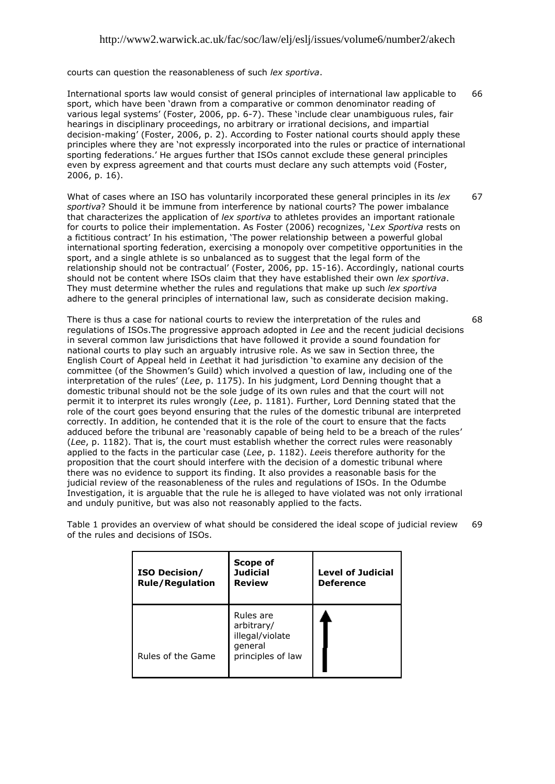courts can question the reasonableness of such *lex sportiva*.

International sports law would consist of general principles of international law applicable to sport, which have been "drawn from a comparative or common denominator reading of various legal systems" (Foster, 2006, pp. 6-7). These "include clear unambiguous rules, fair hearings in disciplinary proceedings, no arbitrary or irrational decisions, and impartial decision-making" (Foster, 2006, p. 2). According to Foster national courts should apply these principles where they are "not expressly incorporated into the rules or practice of international sporting federations." He argues further that ISOs cannot exclude these general principles even by express agreement and that courts must declare any such attempts void (Foster, 2006, p. 16). 66

What of cases where an ISO has voluntarily incorporated these general principles in its *lex sportiva*? Should it be immune from interference by national courts? The power imbalance that characterizes the application of *lex sportiva* to athletes provides an important rationale for courts to police their implementation. As Foster (2006) recognizes, "*Lex Sportiva* rests on a fictitious contract" In his estimation, "The power relationship between a powerful global international sporting federation, exercising a monopoly over competitive opportunities in the sport, and a single athlete is so unbalanced as to suggest that the legal form of the relationship should not be contractual' (Foster, 2006, pp. 15-16). Accordingly, national courts should not be content where ISOs claim that they have established their own *lex sportiva*. They must determine whether the rules and regulations that make up such *lex sportiva* adhere to the general principles of international law, such as considerate decision making. 67

There is thus a case for national courts to review the interpretation of the rules and regulations of ISOs.The progressive approach adopted in *Lee* and the recent judicial decisions in several common law jurisdictions that have followed it provide a sound foundation for national courts to play such an arguably intrusive role. As we saw in Section three, the English Court of Appeal held in *Lee*that it had jurisdiction "to examine any decision of the committee (of the Showmen"s Guild) which involved a question of law, including one of the interpretation of the rules" (*Lee*, p. 1175). In his judgment, Lord Denning thought that a domestic tribunal should not be the sole judge of its own rules and that the court will not permit it to interpret its rules wrongly (*Lee*, p. 1181). Further, Lord Denning stated that the role of the court goes beyond ensuring that the rules of the domestic tribunal are interpreted correctly. In addition, he contended that it is the role of the court to ensure that the facts adduced before the tribunal are 'reasonably capable of being held to be a breach of the rules' (*Lee*, p. 1182). That is, the court must establish whether the correct rules were reasonably applied to the facts in the particular case (*Lee*, p. 1182). *Lee*is therefore authority for the proposition that the court should interfere with the decision of a domestic tribunal where there was no evidence to support its finding. It also provides a reasonable basis for the judicial review of the reasonableness of the rules and regulations of ISOs. In the Odumbe Investigation, it is arguable that the rule he is alleged to have violated was not only irrational and unduly punitive, but was also not reasonably applied to the facts. 68

Table 1 provides an overview of what should be considered the ideal scope of judicial review of the rules and decisions of ISOs. 69

| <b>ISO Decision/</b><br><b>Rule/Regulation</b> | Scope of<br><b>Judicial</b><br><b>Review</b>                               | <b>Level of Judicial</b><br><b>Deference</b> |
|------------------------------------------------|----------------------------------------------------------------------------|----------------------------------------------|
| Rules of the Game                              | Rules are<br>arbitrary/<br>illegal/violate<br>general<br>principles of law |                                              |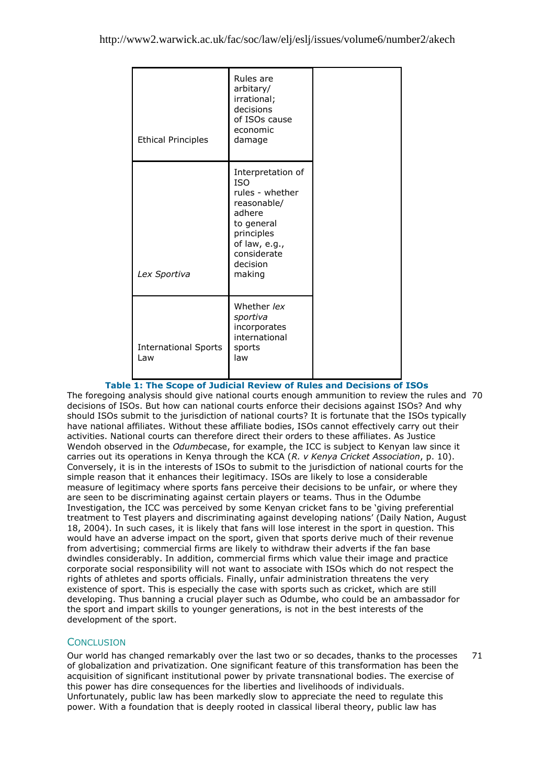| <b>Ethical Principles</b>          | Rules are<br>arbitary/<br>irrational;<br>decisions<br>of ISOs cause<br>economic<br>damage                                                                     |  |
|------------------------------------|---------------------------------------------------------------------------------------------------------------------------------------------------------------|--|
| Lex Sportiva                       | Interpretation of<br><b>ISO</b><br>rules - whether<br>reasonable/<br>adhere<br>to general<br>principles<br>of law, e.g.,<br>considerate<br>decision<br>making |  |
| <b>International Sports</b><br>Law | Whether lex<br>sportiva<br>incorporates<br>international<br>sports<br>law                                                                                     |  |

# **Table 1: The Scope of Judicial Review of Rules and Decisions of ISOs**

The foregoing analysis should give national courts enough ammunition to review the rules and 70 decisions of ISOs. But how can national courts enforce their decisions against ISOs? And why should ISOs submit to the jurisdiction of national courts? It is fortunate that the ISOs typically have national affiliates. Without these affiliate bodies, ISOs cannot effectively carry out their activities. National courts can therefore direct their orders to these affiliates. As Justice Wendoh observed in the *Odumbe*case, for example, the ICC is subject to Kenyan law since it carries out its operations in Kenya through the KCA (*R. v Kenya Cricket Association*, p. 10). Conversely, it is in the interests of ISOs to submit to the jurisdiction of national courts for the simple reason that it enhances their legitimacy. ISOs are likely to lose a considerable measure of legitimacy where sports fans perceive their decisions to be unfair, or where they are seen to be discriminating against certain players or teams. Thus in the Odumbe Investigation, the ICC was perceived by some Kenyan cricket fans to be "giving preferential treatment to Test players and discriminating against developing nations" (Daily Nation, August 18, 2004). In such cases, it is likely that fans will lose interest in the sport in question. This would have an adverse impact on the sport, given that sports derive much of their revenue from advertising; commercial firms are likely to withdraw their adverts if the fan base dwindles considerably. In addition, commercial firms which value their image and practice corporate social responsibility will not want to associate with ISOs which do not respect the rights of athletes and sports officials. Finally, unfair administration threatens the very existence of sport. This is especially the case with sports such as cricket, which are still developing. Thus banning a crucial player such as Odumbe, who could be an ambassador for the sport and impart skills to younger generations, is not in the best interests of the development of the sport.

# **CONCLUSION**

Our world has changed remarkably over the last two or so decades, thanks to the processes of globalization and privatization. One significant feature of this transformation has been the acquisition of significant institutional power by private transnational bodies. The exercise of this power has dire consequences for the liberties and livelihoods of individuals. Unfortunately, public law has been markedly slow to appreciate the need to regulate this power. With a foundation that is deeply rooted in classical liberal theory, public law has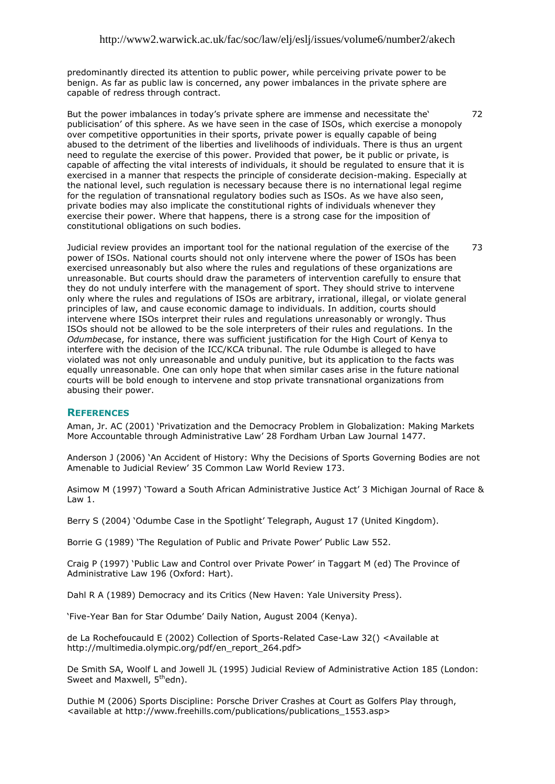predominantly directed its attention to public power, while perceiving private power to be benign. As far as public law is concerned, any power imbalances in the private sphere are capable of redress through contract.

But the power imbalances in today's private sphere are immense and necessitate the' publicisation" of this sphere. As we have seen in the case of ISOs, which exercise a monopoly over competitive opportunities in their sports, private power is equally capable of being abused to the detriment of the liberties and livelihoods of individuals. There is thus an urgent need to regulate the exercise of this power. Provided that power, be it public or private, is capable of affecting the vital interests of individuals, it should be regulated to ensure that it is exercised in a manner that respects the principle of considerate decision-making. Especially at the national level, such regulation is necessary because there is no international legal regime for the regulation of transnational regulatory bodies such as ISOs. As we have also seen, private bodies may also implicate the constitutional rights of individuals whenever they exercise their power. Where that happens, there is a strong case for the imposition of constitutional obligations on such bodies.

Judicial review provides an important tool for the national regulation of the exercise of the power of ISOs. National courts should not only intervene where the power of ISOs has been exercised unreasonably but also where the rules and regulations of these organizations are unreasonable. But courts should draw the parameters of intervention carefully to ensure that they do not unduly interfere with the management of sport. They should strive to intervene only where the rules and regulations of ISOs are arbitrary, irrational, illegal, or violate general principles of law, and cause economic damage to individuals. In addition, courts should intervene where ISOs interpret their rules and regulations unreasonably or wrongly. Thus ISOs should not be allowed to be the sole interpreters of their rules and regulations. In the *Odumbe*case, for instance, there was sufficient justification for the High Court of Kenya to interfere with the decision of the ICC/KCA tribunal. The rule Odumbe is alleged to have violated was not only unreasonable and unduly punitive, but its application to the facts was equally unreasonable. One can only hope that when similar cases arise in the future national courts will be bold enough to intervene and stop private transnational organizations from abusing their power. 73

### **REFERENCES**

Aman, Jr. AC (2001) "Privatization and the Democracy Problem in Globalization: Making Markets More Accountable through Administrative Law" 28 Fordham Urban Law Journal 1477.

Anderson J (2006) "An Accident of History: Why the Decisions of Sports Governing Bodies are not Amenable to Judicial Review" 35 Common Law World Review 173.

Asimow M (1997) "Toward a South African Administrative Justice Act" 3 Michigan Journal of Race & Law 1.

Berry S (2004) 'Odumbe Case in the Spotlight' Telegraph, August 17 (United Kingdom).

Borrie G (1989) "The Regulation of Public and Private Power" Public Law 552.

Craig P (1997) "Public Law and Control over Private Power" in Taggart M (ed) The Province of Administrative Law 196 (Oxford: Hart).

Dahl R A (1989) Democracy and its Critics (New Haven: Yale University Press).

"Five-Year Ban for Star Odumbe" Daily Nation, August 2004 (Kenya).

de La Rochefoucauld E (2002) Collection of Sports-Related Case-Law 32() <Available at http://multimedia.olympic.org/pdf/en\_report\_264.pdf>

De Smith SA, Woolf L and Jowell JL (1995) Judicial Review of Administrative Action 185 (London: Sweet and Maxwell, 5<sup>th</sup>edn).

Duthie M (2006) Sports Discipline: Porsche Driver Crashes at Court as Golfers Play through, <available at http://www.freehills.com/publications/publications\_1553.asp>